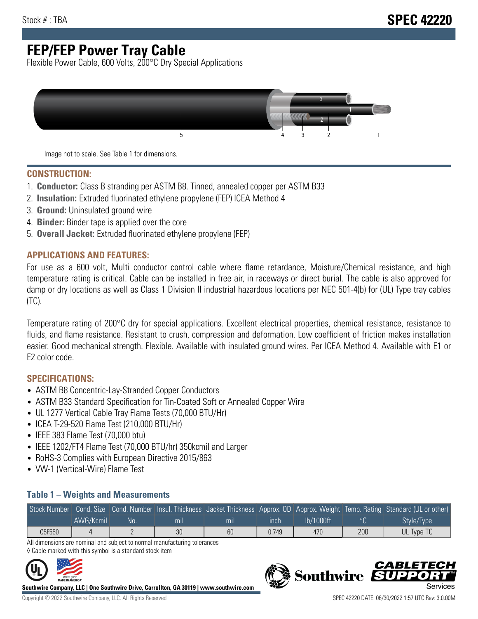## **FEP/FEP Power Tray Cable**

Flexible Power Cable, 600 Volts, 200°C Dry Special Applications



Image not to scale. See Table 1 for dimensions.

#### **CONSTRUCTION:**

- 1. **Conductor:** Class B stranding per ASTM B8. Tinned, annealed copper per ASTM B33
- 2. **Insulation:** Extruded fluorinated ethylene propylene (FEP) ICEA Method 4
- 3. **Ground:** Uninsulated ground wire
- 4. **Binder:** Binder tape is applied over the core
- 5. **Overall Jacket:** Extruded fluorinated ethylene propylene (FEP)

#### **APPLICATIONS AND FEATURES:**

For use as a 600 volt, Multi conductor control cable where flame retardance, Moisture/Chemical resistance, and high temperature rating is critical. Cable can be installed in free air, in raceways or direct burial. The cable is also approved for damp or dry locations as well as Class 1 Division II industrial hazardous locations per NEC 501-4(b) for (UL) Type tray cables (TC).

Temperature rating of 200°C dry for special applications. Excellent electrical properties, chemical resistance, resistance to fluids, and flame resistance. Resistant to crush, compression and deformation. Low coefficient of friction makes installation easier. Good mechanical strength. Flexible. Available with insulated ground wires. Per ICEA Method 4. Available with E1 or E2 color code.

### **SPECIFICATIONS:**

- ASTM B8 Concentric-Lay-Stranded Copper Conductors
- ASTM B33 Standard Specification for Tin-Coated Soft or Annealed Copper Wire
- UL 1277 Vertical Cable Tray Flame Tests (70,000 BTU/Hr)
- ICEA T-29-520 Flame Test (210,000 BTU/Hr)
- IEEE 383 Flame Test (70,000 btu)
- IEEE 1202/FT4 Flame Test (70,000 BTU/hr) 350kcmil and Larger
- RoHS-3 Complies with European Directive 2015/863
- VW-1 (Vertical-Wire) Flame Test

#### **Table 1 – Weights and Measurements**

|        |           |     |     |     |       |           |     | Stock Number Cond. Size Cond. Number Insul. Thickness Jacket Thickness Approx. OD Approx. Weight Temp. Rating Standard (UL or other) |
|--------|-----------|-----|-----|-----|-------|-----------|-----|--------------------------------------------------------------------------------------------------------------------------------------|
|        | AWG/Kcmil | No. | mıl | mil | ınch  | lb/1000ft |     | Style/Type                                                                                                                           |
| C5F550 |           |     | 30  | 60  | 0.749 | 470       | 200 | UL Type TC                                                                                                                           |

All dimensions are nominal and subject to normal manufacturing tolerances ◊ Cable marked with this symbol is a standard stock item



**Southwire Company, LLC | One Southwire Drive, Carrollton, GA 30119 | www.southwire.com**